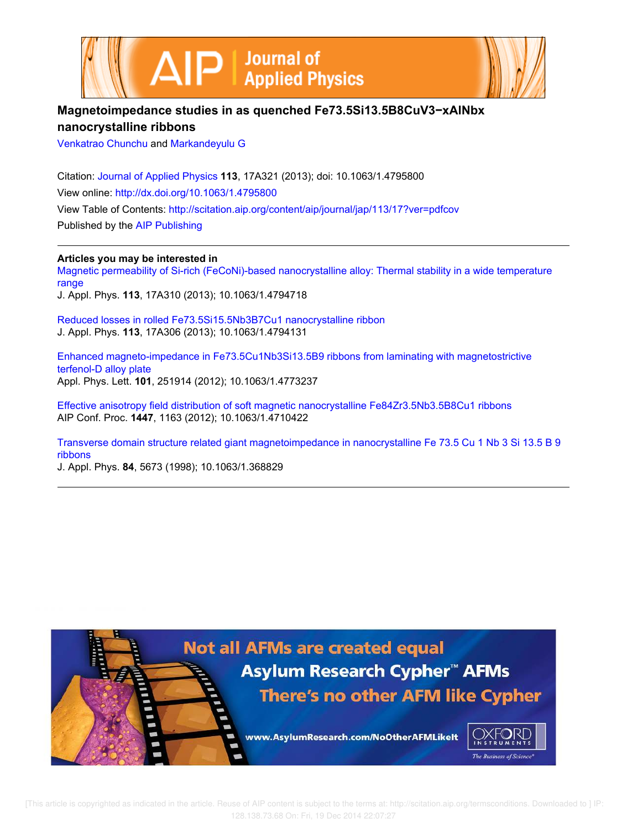



# **Magnetoimpedance studies in as quenched Fe73.5Si13.5B8CuV3−xAlNbx nanocrystalline ribbons**

Venkatrao Chunchu and Markandeyulu G

Citation: Journal of Applied Physics **113**, 17A321 (2013); doi: 10.1063/1.4795800 View online: http://dx.doi.org/10.1063/1.4795800 View Table of Contents: http://scitation.aip.org/content/aip/journal/jap/113/17?ver=pdfcov Published by the AIP Publishing

**Articles you may be interested in**

Magnetic permeability of Si-rich (FeCoNi)-based nanocrystalline alloy: Thermal stability in a wide temperature range J. Appl. Phys. **113**, 17A310 (2013); 10.1063/1.4794718

Reduced losses in rolled Fe73.5Si15.5Nb3B7Cu1 nanocrystalline ribbon J. Appl. Phys. **113**, 17A306 (2013); 10.1063/1.4794131

Enhanced magneto-impedance in Fe73.5Cu1Nb3Si13.5B9 ribbons from laminating with magnetostrictive terfenol-D alloy plate Appl. Phys. Lett. **101**, 251914 (2012); 10.1063/1.4773237

Effective anisotropy field distribution of soft magnetic nanocrystalline Fe84Zr3.5Nb3.5B8Cu1 ribbons AIP Conf. Proc. **1447**, 1163 (2012); 10.1063/1.4710422

Transverse domain structure related giant magnetoimpedance in nanocrystalline Fe 73.5 Cu 1 Nb 3 Si 13.5 B 9 ribbons

J. Appl. Phys. **84**, 5673 (1998); 10.1063/1.368829

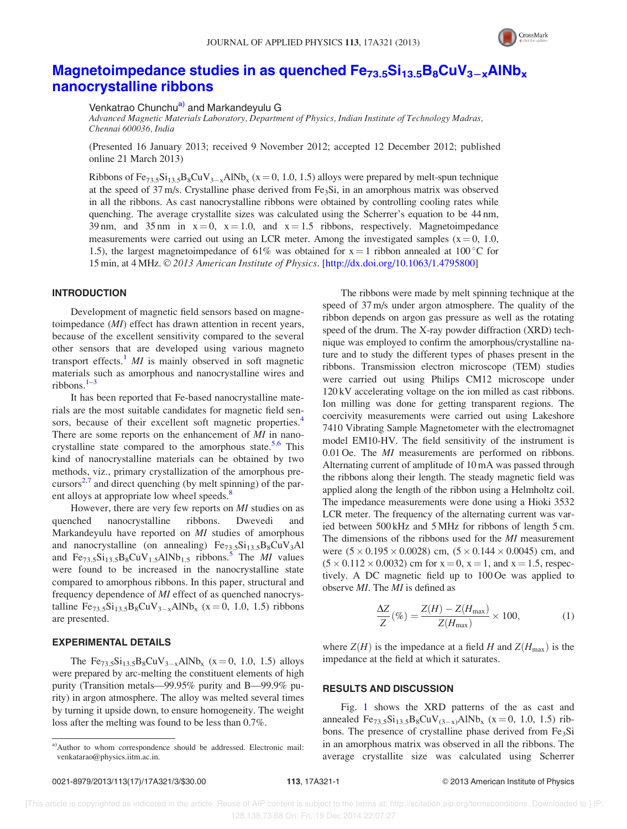

## Magnetoimpedance studies in as quenched  $Fe_{73.5}Si_{13.5}B_8CuV_{3-x}AlNb_x$ nanocrystalline ribbons

Venkatrao Chunchu<sup>a)</sup> and Markandevulu G

Advanced Magnetic Materials Laboratory, Department of Physics, Indian Institute of Technology Madras, Chennai 600036, India

(Presented 16 January 2013; received 9 November 2012; accepted 12 December 2012; published online 21 March 2013)

Ribbons of  $Fe_{73.5}Si_{13.5}B_8CuV_{3-x}AlNb_x$  (x = 0, 1.0, 1.5) alloys were prepared by melt-spun technique at the speed of 37 m/s. Crystalline phase derived from  $Fe<sub>3</sub>Si$ , in an amorphous matrix was observed in all the ribbons. As cast nanocrystalline ribbons were obtained by controlling cooling rates while quenching. The average crystallite sizes was calculated using the Scherrer's equation to be 44 nm, 39 nm, and 35 nm in  $x = 0$ ,  $x = 1.0$ , and  $x = 1.5$  ribbons, respectively. Magnetoimpedance measurements were carried out using an LCR meter. Among the investigated samples ( $x = 0, 1.0$ , 1.5), the largest magnetoimpedance of 61% was obtained for  $x = 1$  ribbon annealed at 100 °C for 15 min, at 4 MHz. © 2013 American Institute of Physics. [http://dx.doi.org/10.1063/1.4795800]

#### INTRODUCTION

Development of magnetic field sensors based on magnetoimpedance (MI) effect has drawn attention in recent years, because of the excellent sensitivity compared to the several other sensors that are developed using various magneto transport effects.<sup>1</sup> *MI* is mainly observed in soft magnetic materials such as amorphous and nanocrystalline wires and ribbons. $1-3$ 

It has been reported that Fe-based nanocrystalline materials are the most suitable candidates for magnetic field sensors, because of their excellent soft magnetic properties.<sup>4</sup> There are some reports on the enhancement of MI in nanocrystalline state compared to the amorphous state.<sup>5,6</sup> This kind of nanocrystalline materials can be obtained by two methods, viz., primary crystallization of the amorphous precursors $2.7$  and direct quenching (by melt spinning) of the parent alloys at appropriate low wheel speeds.<sup>8</sup>

However, there are very few reports on MI studies on as quenched nanocrystalline ribbons. Dwevedi and Markandeyulu have reported on MI studies of amorphous and nanocrystalline (on annealing)  $Fe_{73.5}Si_{13.5}B_8CuV_3Al$ and  $Fe_{73.5}Si_{13.5}B_8CuV_{1.5}AlNb_{1.5}$  ribbons.<sup>5</sup> The *MI* values were found to be increased in the nanocrystalline state compared to amorphous ribbons. In this paper, structural and frequency dependence of MI effect of as quenched nanocrystalline  $Fe_{73.5}Si_{13.5}B_8CuV_{3-x}AlNb_x$  (x = 0, 1.0, 1.5) ribbons are presented.

### EXPERIMENTAL DETAILS

The  $Fe_{73.5}Si_{13.5}B_8CuV_{3-x}AlNb_x$  (x = 0, 1.0, 1.5) alloys were prepared by arc-melting the constituent elements of high purity (Transition metals—99.95% purity and B—99.9% purity) in argon atmosphere. The alloy was melted several times by turning it upside down, to ensure homogeneity. The weight loss after the melting was found to be less than 0.7%.

The ribbons were made by melt spinning technique at the speed of 37 m/s under argon atmosphere. The quality of the ribbon depends on argon gas pressure as well as the rotating speed of the drum. The X-ray powder diffraction (XRD) technique was employed to confirm the amorphous/crystalline nature and to study the different types of phases present in the ribbons. Transmission electron microscope (TEM) studies were carried out using Philips CM12 microscope under 120 kV accelerating voltage on the ion milled as cast ribbons. Ion milling was done for getting transparent regions. The coercivity measurements were carried out using Lakeshore 7410 Vibrating Sample Magnetometer with the electromagnet model EM10-HV. The field sensitivity of the instrument is 0.01 Oe. The *MI* measurements are performed on ribbons. Alternating current of amplitude of 10 mA was passed through the ribbons along their length. The steady magnetic field was applied along the length of the ribbon using a Helmholtz coil. The impedance measurements were done using a Hioki 3532 LCR meter. The frequency of the alternating current was varied between 500 kHz and 5 MHz for ribbons of length 5 cm. The dimensions of the ribbons used for the MI measurement were  $(5 \times 0.195 \times 0.0028)$  cm,  $(5 \times 0.144 \times 0.0045)$  cm, and  $(5 \times 0.112 \times 0.0032)$  cm for  $x = 0$ ,  $x = 1$ , and  $x = 1.5$ , respectively. A DC magnetic field up to 100 Oe was applied to observe MI. The MI is defined as

$$
\frac{\Delta Z}{Z}(\%) = \frac{Z(H) - Z(H_{\text{max}})}{Z(H_{\text{max}})} \times 100,\tag{1}
$$

where  $Z(H)$  is the impedance at a field H and  $Z(H_{\text{max}})$  is the impedance at the field at which it saturates.

### RESULTS AND DISCUSSION

Fig. 1 shows the XRD patterns of the as cast and annealed  $Fe_{73.5}Si_{13.5}B_8CuV_{(3-x)}AlNb_x$  (x = 0, 1.0, 1.5) ribbons. The presence of crystalline phase derived from  $Fe<sub>3</sub>Si$ in an amorphous matrix was observed in all the ribbons. The average crystallite size was calculated using Scherrer

a)Author to whom correspondence should be addressed. Electronic mail: venkatarao@physics.iitm.ac.in.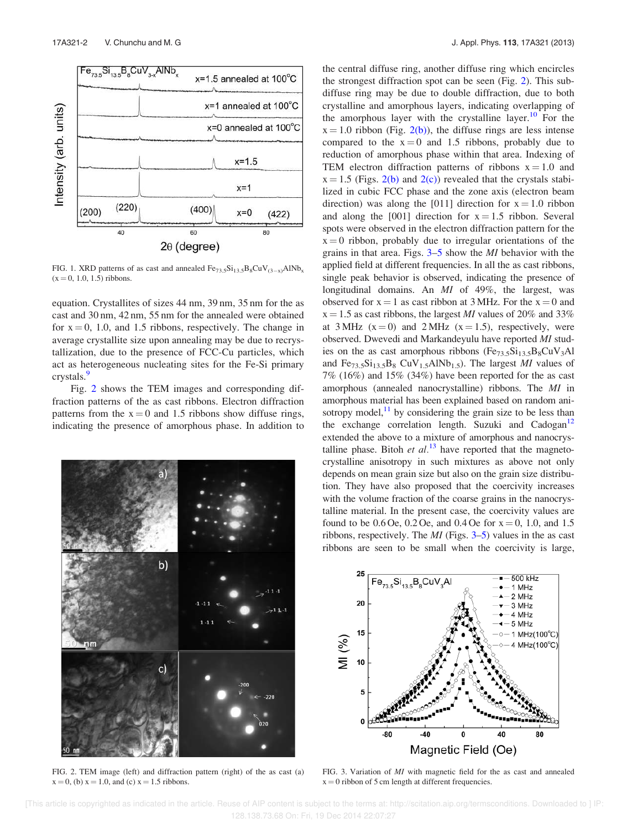

FIG. 1. XRD patterns of as cast and annealed  $Fe_{73.5}Si_{13.5}B_8CuV_{(3-x)}AlNb_x$  $(x = 0, 1.0, 1.5)$  ribbons.

equation. Crystallites of sizes 44 nm, 39 nm, 35 nm for the as cast and 30 nm, 42 nm, 55 nm for the annealed were obtained for  $x = 0$ , 1.0, and 1.5 ribbons, respectively. The change in average crystallite size upon annealing may be due to recrystallization, due to the presence of FCC-Cu particles, which act as heterogeneous nucleating sites for the Fe-Si primary crystals.<sup>9</sup>

Fig. 2 shows the TEM images and corresponding diffraction patterns of the as cast ribbons. Electron diffraction patterns from the  $x = 0$  and 1.5 ribbons show diffuse rings, indicating the presence of amorphous phase. In addition to



FIG. 2. TEM image (left) and diffraction pattern (right) of the as cast (a)  $x = 0$ , (b)  $x = 1.0$ , and (c)  $x = 1.5$  ribbons.

the central diffuse ring, another diffuse ring which encircles the strongest diffraction spot can be seen (Fig. 2). This subdiffuse ring may be due to double diffraction, due to both crystalline and amorphous layers, indicating overlapping of the amorphous layer with the crystalline layer.<sup>10</sup> For the  $x = 1.0$  ribbon (Fig. 2(b)), the diffuse rings are less intense compared to the  $x = 0$  and 1.5 ribbons, probably due to reduction of amorphous phase within that area. Indexing of TEM electron diffraction patterns of ribbons  $x = 1.0$  and  $x = 1.5$  (Figs. 2(b) and 2(c)) revealed that the crystals stabilized in cubic FCC phase and the zone axis (electron beam direction) was along the [011] direction for  $x = 1.0$  ribbon and along the  $[001]$  direction for  $x = 1.5$  ribbon. Several spots were observed in the electron diffraction pattern for the  $x = 0$  ribbon, probably due to irregular orientations of the grains in that area. Figs. 3–5 show the MI behavior with the applied field at different frequencies. In all the as cast ribbons, single peak behavior is observed, indicating the presence of longitudinal domains. An MI of 49%, the largest, was observed for  $x = 1$  as cast ribbon at 3 MHz. For the  $x = 0$  and  $x = 1.5$  as cast ribbons, the largest *MI* values of 20% and 33% at 3 MHz  $(x=0)$  and 2 MHz  $(x=1.5)$ , respectively, were observed. Dwevedi and Markandeyulu have reported MI studies on the as cast amorphous ribbons  $(Fe_{73.5}Si_{13.5}B_8CuV_3Al$ and  $Fe_{73.5}Si_{13.5}B_8$  CuV<sub>1.5</sub>AlNb<sub>1.5</sub>). The largest *MI* values of 7% (16%) and 15% (34%) have been reported for the as cast amorphous (annealed nanocrystalline) ribbons. The MI in amorphous material has been explained based on random anisotropy model, $^{11}$  by considering the grain size to be less than the exchange correlation length. Suzuki and Cadogan<sup>12</sup> extended the above to a mixture of amorphous and nanocrystalline phase. Bitoh et  $al^{13}$  have reported that the magnetocrystalline anisotropy in such mixtures as above not only depends on mean grain size but also on the grain size distribution. They have also proposed that the coercivity increases with the volume fraction of the coarse grains in the nanocrystalline material. In the present case, the coercivity values are found to be 0.6 Oe, 0.2 Oe, and 0.4 Oe for  $x = 0$ , 1.0, and 1.5 ribbons, respectively. The  $MI$  (Figs. 3–5) values in the as cast ribbons are seen to be small when the coercivity is large,



FIG. 3. Variation of MI with magnetic field for the as cast and annealed  $x = 0$  ribbon of 5 cm length at different frequencies.

 [This article is copyrighted as indicated in the article. Reuse of AIP content is subject to the terms at: http://scitation.aip.org/termsconditions. Downloaded to ] IP: 128.138.73.68 On: Fri, 19 Dec 2014 22:07:27